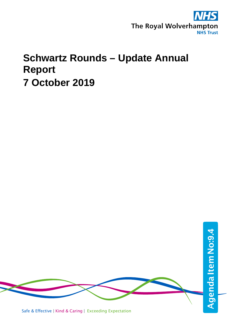

# **Schwartz Rounds – Update Annual Report 7 October 2019**

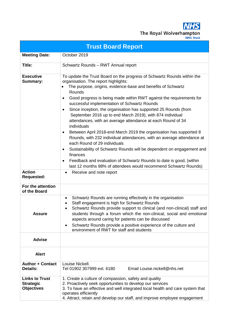**NHS** The Royal Wolverhampton

| <b>Trust Board Report</b>                                      |                                                                                                                                                                                                                                                                                                                                                                                                                                                                                                                                                                                                                                                                                                                                                                                                                                                                                                                                                                                                 |  |  |  |  |  |  |  |  |  |  |
|----------------------------------------------------------------|-------------------------------------------------------------------------------------------------------------------------------------------------------------------------------------------------------------------------------------------------------------------------------------------------------------------------------------------------------------------------------------------------------------------------------------------------------------------------------------------------------------------------------------------------------------------------------------------------------------------------------------------------------------------------------------------------------------------------------------------------------------------------------------------------------------------------------------------------------------------------------------------------------------------------------------------------------------------------------------------------|--|--|--|--|--|--|--|--|--|--|
| <b>Meeting Date:</b>                                           | October 2019                                                                                                                                                                                                                                                                                                                                                                                                                                                                                                                                                                                                                                                                                                                                                                                                                                                                                                                                                                                    |  |  |  |  |  |  |  |  |  |  |
| Title:                                                         | Schwartz Rounds - RWT Annual report                                                                                                                                                                                                                                                                                                                                                                                                                                                                                                                                                                                                                                                                                                                                                                                                                                                                                                                                                             |  |  |  |  |  |  |  |  |  |  |
| <b>Executive</b><br><b>Summary:</b>                            | To update the Trust Board on the progress of Schwartz Rounds within the<br>organisation. The report highlights:<br>The purpose, origins, evidence-base and benefits of Schwartz<br>Rounds<br>Good progress is being made within RWT against the requirements for<br>$\bullet$<br>successful implementation of Schwartz Rounds<br>Since inception, the organisation has supported 25 Rounds (from<br>$\bullet$<br>September 2016 up to end March 2019), with 874 individual<br>attendances, with an average attendance at each Round of 34<br>individuals<br>Between April 2018-end March 2019 the organisation has supported 8<br>$\bullet$<br>Rounds, with 232 individual attendances, with an average attendance at<br>each Round of 29 individuals<br>Sustainability of Schwartz Rounds will be dependent on engagement and<br>٠<br>finances<br>Feedback and evaluation of Schwartz Rounds to date is good, (within<br>٠<br>last 12 months 98% of attendees would recommend Schwartz Rounds) |  |  |  |  |  |  |  |  |  |  |
| <b>Action</b><br><b>Requested:</b>                             | Receive and note report                                                                                                                                                                                                                                                                                                                                                                                                                                                                                                                                                                                                                                                                                                                                                                                                                                                                                                                                                                         |  |  |  |  |  |  |  |  |  |  |
| For the attention<br>of the Board                              |                                                                                                                                                                                                                                                                                                                                                                                                                                                                                                                                                                                                                                                                                                                                                                                                                                                                                                                                                                                                 |  |  |  |  |  |  |  |  |  |  |
| <b>Assure</b>                                                  | Schwartz Rounds are running effectively in the organisation<br>٠<br>Staff engagement is high for Schwartz Rounds<br>Schwartz Rounds provide support to clinical (and non-clinical) staff and<br>٠<br>students through a forum which the non-clinical, social and emotional<br>aspects around caring for patients can be discussed<br>Schwartz Rounds provide a positive experience of the culture and<br>٠<br>environment of RWT for staff and students                                                                                                                                                                                                                                                                                                                                                                                                                                                                                                                                         |  |  |  |  |  |  |  |  |  |  |
| <b>Advise</b>                                                  |                                                                                                                                                                                                                                                                                                                                                                                                                                                                                                                                                                                                                                                                                                                                                                                                                                                                                                                                                                                                 |  |  |  |  |  |  |  |  |  |  |
| <b>Alert</b>                                                   |                                                                                                                                                                                                                                                                                                                                                                                                                                                                                                                                                                                                                                                                                                                                                                                                                                                                                                                                                                                                 |  |  |  |  |  |  |  |  |  |  |
| <b>Author + Contact</b><br>Details:                            | Louise Nickell.<br>Tel 01902 307999 ext. 6180<br>Email Louise.nickell@nhs.net                                                                                                                                                                                                                                                                                                                                                                                                                                                                                                                                                                                                                                                                                                                                                                                                                                                                                                                   |  |  |  |  |  |  |  |  |  |  |
| <b>Links to Trust</b><br><b>Strategic</b><br><b>Objectives</b> | 1. Create a culture of compassion, safety and quality<br>2. Proactively seek opportunities to develop our services<br>3. To have an effective and well integrated local health and care system that<br>operates efficiently<br>4. Attract, retain and develop our staff, and improve employee engagement                                                                                                                                                                                                                                                                                                                                                                                                                                                                                                                                                                                                                                                                                        |  |  |  |  |  |  |  |  |  |  |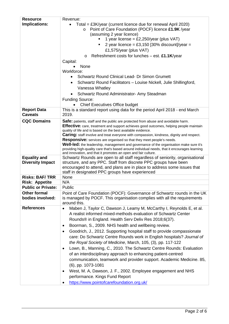| <b>Resource</b>           | Revenue:                                                                                                                                                                       |  |  |  |  |  |  |  |  |
|---------------------------|--------------------------------------------------------------------------------------------------------------------------------------------------------------------------------|--|--|--|--|--|--|--|--|
| Implications:             | Total = £3K/year (current licence due for renewal April 2020)<br>$\bullet$                                                                                                     |  |  |  |  |  |  |  |  |
|                           | Point of Care Foundation (POCF) licence £1.9K /year<br>$\circ$                                                                                                                 |  |  |  |  |  |  |  |  |
|                           | (assuming 2 year licence)                                                                                                                                                      |  |  |  |  |  |  |  |  |
|                           | 1 year license = £2,250/year (plus VAT)                                                                                                                                        |  |  |  |  |  |  |  |  |
|                           | 2 year licence = £3,150 [30% discount]/year =<br>٠                                                                                                                             |  |  |  |  |  |  |  |  |
|                           | £1,575/year (plus VAT)                                                                                                                                                         |  |  |  |  |  |  |  |  |
|                           | Refreshment costs for lunches - est. £1.1K/year<br>O                                                                                                                           |  |  |  |  |  |  |  |  |
|                           | Capital:                                                                                                                                                                       |  |  |  |  |  |  |  |  |
|                           | None<br>Workforce:                                                                                                                                                             |  |  |  |  |  |  |  |  |
|                           | Schwartz Round Clinical Lead- Dr Simon Grumett                                                                                                                                 |  |  |  |  |  |  |  |  |
|                           | Schwartz Round Facilitators - Louise Nickell, Julie Shillingford,<br>٠                                                                                                         |  |  |  |  |  |  |  |  |
|                           | Vanessa Whatley                                                                                                                                                                |  |  |  |  |  |  |  |  |
|                           |                                                                                                                                                                                |  |  |  |  |  |  |  |  |
|                           | Schwartz Round Administrator- Amy Steadman                                                                                                                                     |  |  |  |  |  |  |  |  |
|                           | <b>Funding Source:</b>                                                                                                                                                         |  |  |  |  |  |  |  |  |
| <b>Report Data</b>        | <b>Chief Executives Office budget</b><br>This is a standard report using data for the period April 2018 - end March                                                            |  |  |  |  |  |  |  |  |
| <b>Caveats</b>            | 2019.                                                                                                                                                                          |  |  |  |  |  |  |  |  |
| <b>CQC Domains</b>        | Safe: patients, staff and the public are protected from abuse and avoidable harm.                                                                                              |  |  |  |  |  |  |  |  |
|                           | <b>Effective:</b> care, treatment and support achieves good outcomes, helping people maintain                                                                                  |  |  |  |  |  |  |  |  |
|                           | quality of life and is based on the best available evidence.                                                                                                                   |  |  |  |  |  |  |  |  |
|                           | <b>Caring:</b> staff involve and treat everyone with compassion, kindness, dignity and respect.<br><b>Responsive:</b> services are organised so that they meet people's needs. |  |  |  |  |  |  |  |  |
|                           | Well-led: the leadership, management and governance of the organisation make sure it's                                                                                         |  |  |  |  |  |  |  |  |
|                           | providing high-quality care that's based around individual needs, that it encourages learning<br>and innovation, and that it promotes an open and fair culture.                |  |  |  |  |  |  |  |  |
| <b>Equality and</b>       | Schwartz Rounds are open to all staff regardless of seniority, organisational                                                                                                  |  |  |  |  |  |  |  |  |
| <b>Diversity Impact</b>   | structure, and any PPC. Staff from discrete PPC groups have been                                                                                                               |  |  |  |  |  |  |  |  |
|                           | encouraged to attend, and plans are in place to address some issues that<br>staff in designated PPC groups have experienced                                                    |  |  |  |  |  |  |  |  |
| <b>Risks: BAF/TRR</b>     | None                                                                                                                                                                           |  |  |  |  |  |  |  |  |
| <b>Risk: Appetite</b>     | N/A                                                                                                                                                                            |  |  |  |  |  |  |  |  |
| <b>Public or Private:</b> | Public                                                                                                                                                                         |  |  |  |  |  |  |  |  |
| <b>Other formal</b>       | Point of Care Foundation (POCF): Governance of Schwartz rounds in the UK                                                                                                       |  |  |  |  |  |  |  |  |
| bodies involved:          | is managed by POCF. This organisation complies with all the requirements<br>around this.                                                                                       |  |  |  |  |  |  |  |  |
| <b>References</b>         | Maben J, Taylor C, Dawson J, Leamy M, McCarthy I, Reynolds E, et al.<br>$\bullet$                                                                                              |  |  |  |  |  |  |  |  |
|                           | A realist informed mixed-methods evaluation of Schwartz Center                                                                                                                 |  |  |  |  |  |  |  |  |
|                           | Rounds® in England. Health Serv Deliv Res 2018;6(37).                                                                                                                          |  |  |  |  |  |  |  |  |
|                           | Boorman, S., 2009. NHS health and wellbeing review.<br>$\bullet$                                                                                                               |  |  |  |  |  |  |  |  |
|                           | Goodrich, J., 2012. Supporting hospital staff to provide compassionate<br>٠                                                                                                    |  |  |  |  |  |  |  |  |
|                           | care: Do Schwartz Centre Rounds work in English hospitals? Journal of                                                                                                          |  |  |  |  |  |  |  |  |
|                           | the Royal Society of Medicine, March, 105, (3), pp. 117-122                                                                                                                    |  |  |  |  |  |  |  |  |
|                           | Lown, B., Manning, C., 2010. The Schwartz Centre Rounds: Evaluation<br>$\bullet$                                                                                               |  |  |  |  |  |  |  |  |
|                           | of an interdisciplinary approach to enhancing patient-centred                                                                                                                  |  |  |  |  |  |  |  |  |
|                           | communication, teamwork and provider support. Academic Medicine. 85,                                                                                                           |  |  |  |  |  |  |  |  |
|                           |                                                                                                                                                                                |  |  |  |  |  |  |  |  |
|                           | (6), pp. 1073-1081                                                                                                                                                             |  |  |  |  |  |  |  |  |
|                           | West, M. A, Dawson, J. F., 2002. Employee engagement and NHS<br>$\bullet$                                                                                                      |  |  |  |  |  |  |  |  |
|                           | performance. Kings Fund Report                                                                                                                                                 |  |  |  |  |  |  |  |  |
|                           | https://www.pointofcarefoundation.org.uk/<br>$\bullet$                                                                                                                         |  |  |  |  |  |  |  |  |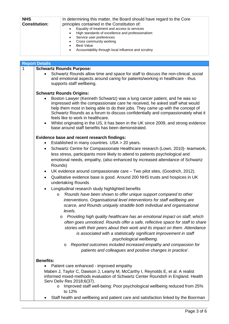| <b>NHS</b><br><b>Constitution:</b> | In determining this matter, the Board should have regard to the Core<br>principles contained in the Constitution of:                                                                                                                |
|------------------------------------|-------------------------------------------------------------------------------------------------------------------------------------------------------------------------------------------------------------------------------------|
|                                    | Equality of treatment and access to services<br>High standards of excellence and professionalism<br>Service user preferences<br>Cross community working<br><b>Best Value</b><br>Accountability through local influence and scrutiny |

|   | <b>Report Details</b>                                                                                                                                                                                                                                                                                                                                                                                                                                                                                                          |
|---|--------------------------------------------------------------------------------------------------------------------------------------------------------------------------------------------------------------------------------------------------------------------------------------------------------------------------------------------------------------------------------------------------------------------------------------------------------------------------------------------------------------------------------|
| 1 | <b>Schwartz Rounds Purpose:</b>                                                                                                                                                                                                                                                                                                                                                                                                                                                                                                |
|   | Schwartz Rounds allow time and space for staff to discuss the non-clinical, social<br>and emotional aspects around caring for patients/working in healthcare - thus<br>supports staff wellbeing.                                                                                                                                                                                                                                                                                                                               |
|   | <b>Schwartz Rounds Origins:</b>                                                                                                                                                                                                                                                                                                                                                                                                                                                                                                |
|   | Boston Lawyer (Kenneth Schwartz) was a lung cancer patient, and he was so<br>impressed with the compassionate care he received, he asked staff what would<br>help them most in being able to do their jobs. They came up with the concept of<br>Schwartz Rounds as a forum to discuss confidentially and compassionately what it<br>feels like to work in healthcare.<br>Whilst originating in the US, it has been in the UK since 2009, and strong evidence<br>$\bullet$<br>base around staff benefits has been demonstrated. |
|   | Evidence base and recent research findings:                                                                                                                                                                                                                                                                                                                                                                                                                                                                                    |
|   | Established in many countries. USA > 20 years.                                                                                                                                                                                                                                                                                                                                                                                                                                                                                 |
|   | Schwartz Centre for Compassionate Healthcare research (Lown, 2010)- teamwork,<br>٠<br>less stress, participants more likely to attend to patients psychological and<br>emotional needs, empathy, (also enhanced by increased attendance of Schwartz<br>Rounds)                                                                                                                                                                                                                                                                 |
|   | UK evidence around compassionate care - Two pilot sites, (Goodrich, 2012).<br>٠                                                                                                                                                                                                                                                                                                                                                                                                                                                |
|   | Qualitative evidence base is good. Around 200 NHS trusts and hospices in UK<br>$\bullet$<br>undertaking Rounds                                                                                                                                                                                                                                                                                                                                                                                                                 |
|   | Longitudinal research study highlighted benefits                                                                                                                                                                                                                                                                                                                                                                                                                                                                               |
|   | 'Rounds have been shown to offer unique support compared to other<br>$\circ$                                                                                                                                                                                                                                                                                                                                                                                                                                                   |
|   | interventions. Organisational level interventions for staff wellbeing are<br>scarce, and Rounds uniquely straddle both individual and organisational                                                                                                                                                                                                                                                                                                                                                                           |
|   | levels.                                                                                                                                                                                                                                                                                                                                                                                                                                                                                                                        |
|   | Providing high quality healthcare has an emotional impact on staff, which<br>O                                                                                                                                                                                                                                                                                                                                                                                                                                                 |
|   | often goes unnoticed. Rounds offer a safe, reflective space for staff to share                                                                                                                                                                                                                                                                                                                                                                                                                                                 |
|   | stories with their peers about their work and its impact on them. Attendance<br>is associated with a statistically significant improvement in staff                                                                                                                                                                                                                                                                                                                                                                            |
|   | psychological wellbeing.                                                                                                                                                                                                                                                                                                                                                                                                                                                                                                       |
|   | Reported outcomes included increased empathy and compassion for<br>O                                                                                                                                                                                                                                                                                                                                                                                                                                                           |
|   | patients and colleagues and positive changes in practice'.                                                                                                                                                                                                                                                                                                                                                                                                                                                                     |
|   |                                                                                                                                                                                                                                                                                                                                                                                                                                                                                                                                |
|   | <b>Benefits:</b>                                                                                                                                                                                                                                                                                                                                                                                                                                                                                                               |
|   | Patient care enhanced - improved empathy                                                                                                                                                                                                                                                                                                                                                                                                                                                                                       |
|   | Maben J, Taylor C, Dawson J, Leamy M, McCarthy I, Reynolds E, et al. A realist                                                                                                                                                                                                                                                                                                                                                                                                                                                 |
|   | informed mixed-methods evaluation of Schwartz Center Rounds® in England. Health<br>Serv Deliv Res 2018;6(37).                                                                                                                                                                                                                                                                                                                                                                                                                  |
|   | Improved staff well-being: Poor psychological wellbeing reduced from 25%                                                                                                                                                                                                                                                                                                                                                                                                                                                       |
|   | to 12%                                                                                                                                                                                                                                                                                                                                                                                                                                                                                                                         |
|   | Staff health and wellbeing and patient care and satisfaction linked by the Boorman                                                                                                                                                                                                                                                                                                                                                                                                                                             |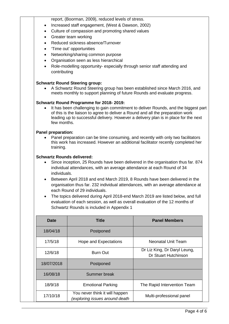report, (Boorman, 2009), reduced levels of stress.

- Increased staff engagement, (West & Dawson, 2002)
- Culture of compassion and promoting shared values
- Greater team working
- Reduced sickness absence/Turnover
- 'Time out' opportunities
- Networking/sharing common purpose
- Organisation seen as less hierarchical
- Role-modelling opportunity- especially through senior staff attending and contributing

## **Schwartz Round Steering group:**

• A Schwartz Round Steering group has been established since March 2016, and meets monthly to support planning of future Rounds and evaluate progress.

## **Schwartz Round Programme for 2018- 2019:**

It has been challenging to gain commitment to deliver Rounds, and the biggest part of this is the liaison to agree to deliver a Round and all the preparation work leading up to successful delivery. However a delivery plan is in place for the next few months.

## **Panel preparation:**

• Panel preparation can be time consuming, and recently with only two facilitators this work has increased. However an additional facilitator recently completed her training.

## **Schwartz Rounds delivered:**

- Since inception, 25 Rounds have been delivered in the organisation thus far. 874 individual attendances, with an average attendance at each Round of 34 individuals.
- Between April 2018 and end March 2019, 8 Rounds have been delivered in the organisation thus far. 232 individual attendances, with an average attendance at each Round of 29 individuals.
- The topics delivered during April 2018-end March 2019 are listed below, and full evaluation of each session, as well as overall evaluation of the 12 months of Schwartz Rounds is included in Appendix 1

| <b>Date</b> | <b>Title</b>                                                            | <b>Panel Members</b>        |  |  |  |
|-------------|-------------------------------------------------------------------------|-----------------------------|--|--|--|
| 18/04/18    | Postponed                                                               |                             |  |  |  |
| 17/5/18     | <b>Neonatal Unit Team</b>                                               |                             |  |  |  |
| 12/6/18     | Dr Liz King, Dr Daryl Leung,<br><b>Burn Out</b><br>Dr Stuart Hutchinson |                             |  |  |  |
| 18/07/2018  | Postponed                                                               |                             |  |  |  |
| 16/08/18    | Summer break                                                            |                             |  |  |  |
| 18/9/18     | <b>Emotional Parking</b>                                                | The Rapid Intervention Team |  |  |  |
| 17/10/18    | You never think it will happen<br>(exploring issues around death        | Multi-professional panel    |  |  |  |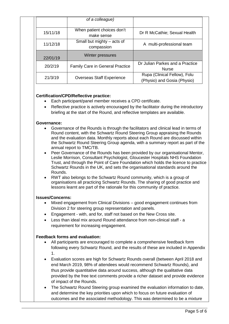|          | of a colleague)                          |                                                             |
|----------|------------------------------------------|-------------------------------------------------------------|
| 15/11/18 | When patient choices don't<br>make sense | Dr R McCathie; Sexual Health                                |
| 11/12/18 | Small but mighty – acts of<br>compassion | A multi-professional team                                   |
| 22/01/19 | Winter pressures                         |                                                             |
| 20/2/19  | <b>Family Care in General Practice</b>   | Dr Julian Parkes and a Practice<br><b>Nurse</b>             |
| 21/3/19  | <b>Overseas Staff Experience</b>         | Rupa (Clinical Fellow), Folu<br>(Physio) and Gosia (Physio) |

## **Certification/CPD/Reflective practice:**

- Each participant/panel member receives a CPD certificate.
- Reflective practice is actively encouraged by the facilitator during the introductory briefing at the start of the Round, and reflective templates are available.

## **Governance:**

- Governance of the Rounds is through the facilitators and clinical lead in terms of Round content, with the Schwartz Round Steering Group appraising the Rounds and the evaluation data. Monthly reports about each Round are discussed within the Schwartz Round Steering Group agenda, with a summary report as part of the annual report to TMC/TB.
- Peer Governance of the Rounds has been provided by our organisational Mentor, Leslie Morrison, Consultant Psychologist, Gloucester Hospitals NHS Foundation Trust, and through the Point of Care Foundation which holds the licence to practice Schwartz Rounds in the UK, and sets the organisational standards around the Rounds.
- RWT also belongs to the Schwartz Round community, which is a group of organisations all practicing Schwartz Rounds. The sharing of good practice and lessons learnt are part of the rationale for this community of practice.

## **Issues/Concerns:**

- Mixed engagement from Clinical Divisions good engagement continues from Division 2 for steering group representation and panels.
- Engagement with, and for, staff not based on the New Cross site.
- Less than ideal mix around Round attendance from non-clinical staff a requirement for increasing engagement.

## **Feedback forms and evaluation:**

- All participants are encouraged to complete a comprehensive feedback form following every Schwartz Round, and the results of these are included in Appendix 1.
- Evaluation scores are high for Schwartz Rounds overall (between April 2018 and end March 2019, 98% of attendees would recommend Schwartz Rounds), and thus provide quantitative data around success, although the qualitative data provided by the free text comments provide a richer dataset and provide evidence of impact of the Rounds.
- The Schwartz Round Steering group examined the evaluation information to date, and determine the key priorities upon which to focus on future evaluation of outcomes and the associated methodology. This was determined to be a mixture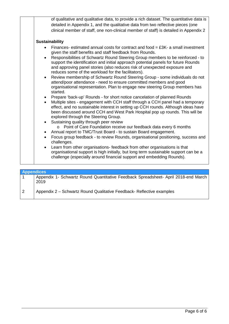|           | of qualitative and qualitative data, to provide a rich dataset. The quantitative data is<br>detailed in Appendix 1, and the qualitative data from two reflective pieces (one<br>clinical member of staff, one non-clinical member of staff) is detailed in Appendix 2                                                                                                    |
|-----------|--------------------------------------------------------------------------------------------------------------------------------------------------------------------------------------------------------------------------------------------------------------------------------------------------------------------------------------------------------------------------|
|           | <b>Sustainability</b>                                                                                                                                                                                                                                                                                                                                                    |
|           | Finances- estimated annual costs for contract and food = $£3K-$ a small investment<br>given the staff benefits and staff feedback from Rounds.                                                                                                                                                                                                                           |
|           | Responsibilities of Schwartz Round Steering Group members to be reinforced - to<br>support the identification and initial approach potential panels for future Rounds<br>and approving panel stories (also reduces risk of unexpected exposure and<br>reduces some of the workload for the facilitators).                                                                |
| $\bullet$ | Review membership of Schwartz Round Steering Group - some individuals do not<br>attend/poor attendance - need to ensure committed members and good<br>organisational representation. Plan to engage new steering Group members has<br>started.                                                                                                                           |
| $\bullet$ | Prepare 'back-up' Rounds - for short notice cancelation of planned Rounds<br>Multiple sites - engagement with CCH staff through a CCH panel had a temporary<br>effect, and no sustainable interest in setting up CCH rounds. Although ideas have<br>been discussed around CCH and West Park Hospital pop up rounds. This will be<br>explored through the Steering Group. |
|           | Sustaining quality through peer review<br>Point of Care Foundation receive our feedback data every 6 months                                                                                                                                                                                                                                                              |
|           | Annual report to TMC/Trust Board - to sustain Board engagement.                                                                                                                                                                                                                                                                                                          |
|           | Focus group feedback - to review Rounds, organisational positioning, success and<br>challenges.                                                                                                                                                                                                                                                                          |
|           | Learn from other organisations- feedback from other organisations is that<br>organisational support is high initially, but long term sustainable support can be a<br>challenge (especially around financial support and embedding Rounds).                                                                                                                               |
|           |                                                                                                                                                                                                                                                                                                                                                                          |

| <b>Appendices</b> |                                                                                            |
|-------------------|--------------------------------------------------------------------------------------------|
|                   | Appendix 1- Schwartz Round Quantitative Feedback Spreadsheet- April 2018-end March<br>2019 |
| 2                 | Appendix 2 - Schwartz Round Qualitative Feedback- Reflective examples                      |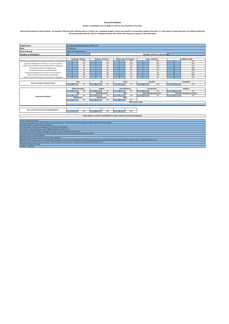#### **Round 18 feedback Number in attendance must be added in order for the calculations to be made.**

## Data entered represents actual numbers - for example if 30 forms were collected and on 3 of these, the 'completely disagree' column was ticked for one particular response then enter '3' in this column. On pressing return,

| The Royal Wolverhampton NHS Trust<br>Organisation                                                                                     |                             |                                                                                                              |                             |                      |                        |                                                                                   |                                 |                             |              |                                        |  |  |
|---------------------------------------------------------------------------------------------------------------------------------------|-----------------------------|--------------------------------------------------------------------------------------------------------------|-----------------------------|----------------------|------------------------|-----------------------------------------------------------------------------------|---------------------------------|-----------------------------|--------------|----------------------------------------|--|--|
| Date                                                                                                                                  | 17-May-18                   |                                                                                                              |                             |                      |                        |                                                                                   |                                 |                             |              |                                        |  |  |
| <b>Title of Round</b>                                                                                                                 |                             | <b>Hope and Expectations</b>                                                                                 |                             |                      |                        |                                                                                   |                                 |                             |              |                                        |  |  |
| Number in attendance                                                                                                                  | 24                          |                                                                                                              |                             |                      |                        |                                                                                   |                                 | Number of forms returned 22 |              |                                        |  |  |
|                                                                                                                                       |                             |                                                                                                              |                             |                      |                        |                                                                                   |                                 |                             |              |                                        |  |  |
|                                                                                                                                       |                             | Completely disagree<br>Disagree somewhat<br>Neither agree nor disagree<br>Agree somewhat<br>Completely agree |                             |                      |                        |                                                                                   |                                 |                             |              |                                        |  |  |
| The stories presented by the panel were relevant to my daily work.                                                                    | $\mathbf{0}$                | 0%                                                                                                           | $\overline{\phantom{a}}$    | 9%                   | $\Omega$               | 0%                                                                                | $\overline{z}$                  | 32%                         | 12           | 55%                                    |  |  |
| I gained knowledge that will help me to care for patients                                                                             | $\Omega$                    | 0%                                                                                                           | $\mathbf{0}$                | 0%                   | $\overline{3}$         | 14%                                                                               | $\ddot{q}$                      | 41%                         | $\mathbf{q}$ | 41%                                    |  |  |
| Today's Round will help me work better with my colleagues.                                                                            | $\mathbf{0}$                | 0%                                                                                                           | $\mathbf{0}$                | 0%                   | $\overline{3}$         | 14%                                                                               | 6                               | 27%                         | 12           | 55%                                    |  |  |
| The group discussion was helpful to me.                                                                                               | $\Omega$                    | 0%                                                                                                           | $\mathbf{0}$                | 0%                   | $\mathbf{0}$           | 0%                                                                                | $\overline{7}$                  | 32%                         | 15           | 68%                                    |  |  |
| The group discussion was well facilitated.                                                                                            | $\mathbf{0}$                | 0%                                                                                                           | $\mathbf{0}$                | 0%                   | $\mathbf{0}$           | 0%                                                                                | $\overline{2}$                  | 9%                          | 18           | 82%                                    |  |  |
| I have gained insight into how others care for patients.                                                                              | $\mathbf{0}$                | 0%                                                                                                           | $\mathbf{0}$                | 0%                   | $\overline{1}$         | 5%                                                                                | $\overline{z}$                  | 9%                          | 18           | 82%                                    |  |  |
| I plan to attend Schwartz Center Rounds again.                                                                                        | $\mathbf{0}$                | 0%                                                                                                           | $\mathbf{0}$                | 0%                   | $\mathbf{0}$           | 0%                                                                                | $\overline{3}$                  | 14%                         | 19           | 86%                                    |  |  |
| I would recommend Schwartz Center Rounds to colleagues.                                                                               | $\mathbf{0}$                | 0%                                                                                                           | $\mathbf{0}$                | 0%                   | $\mathbf{0}$           | 0%                                                                                | $\overline{z}$                  | 9%                          | 20           | 91%                                    |  |  |
|                                                                                                                                       |                             |                                                                                                              |                             |                      |                        |                                                                                   |                                 |                             |              |                                        |  |  |
| Please rate today's Schwartz Round                                                                                                    |                             | Poor                                                                                                         |                             | Fair                 |                        | Good                                                                              |                                 | Excellent                   |              | Exceptional                            |  |  |
|                                                                                                                                       | $\mathbf{0}$                | 0%                                                                                                           | $\mathbf{0}$                | 0%                   |                        | 5%                                                                                | 14                              | 64%                         | 6            | 27%                                    |  |  |
|                                                                                                                                       |                             |                                                                                                              |                             |                      |                        |                                                                                   |                                 |                             |              |                                        |  |  |
|                                                                                                                                       | <b>Medical &amp; Dental</b> |                                                                                                              | <b>Student</b>              |                      | <b>Untrained Nurse</b> |                                                                                   | <b>Trained Nurse</b>            |                             | Ancillary    |                                        |  |  |
|                                                                                                                                       | $\overline{z}$              | 32%                                                                                                          | $\mathbf{0}$                | 0%                   | $\mathbf{0}$           | 0%                                                                                | $\mathbf{q}$                    | 41%                         | $\mathbf{0}$ | 0%                                     |  |  |
|                                                                                                                                       | S&P                         |                                                                                                              | <b>Admin &amp; Clerical</b> |                      | AHP                    |                                                                                   | <b>Senior Manager/Executive</b> |                             |              | <b>Technician/Healthcare Scientist</b> |  |  |
| <b>Professional affiliation</b>                                                                                                       | $\mathbf{0}$                | 0%                                                                                                           |                             | 5%                   | $\overline{3}$         | 14%                                                                               | $\overline{z}$                  | 9%                          | $\Omega$     | 0%                                     |  |  |
|                                                                                                                                       |                             | Maintenance                                                                                                  |                             | <b>Non Executive</b> | Other                  |                                                                                   |                                 |                             |              |                                        |  |  |
|                                                                                                                                       | $\mathbf{0}$                | 0%                                                                                                           | $\mathbf{0}$                | 0%                   | $\mathbf{0}$           | 0%                                                                                |                                 |                             |              |                                        |  |  |
|                                                                                                                                       |                             |                                                                                                              |                             |                      |                        | Other (please state)                                                              |                                 |                             |              |                                        |  |  |
|                                                                                                                                       |                             |                                                                                                              |                             |                      |                        |                                                                                   |                                 |                             |              |                                        |  |  |
|                                                                                                                                       |                             |                                                                                                              |                             |                      |                        |                                                                                   |                                 |                             |              |                                        |  |  |
| How many Rounds have you attended before?                                                                                             | $\overline{z}$              | $\Omega$<br>32%                                                                                              | 11                          | $1 - 5$<br>50%       |                        | $5+$                                                                              |                                 |                             |              |                                        |  |  |
|                                                                                                                                       |                             |                                                                                                              |                             |                      |                        | 18%                                                                               |                                 |                             |              |                                        |  |  |
|                                                                                                                                       |                             |                                                                                                              |                             |                      |                        | Please add your comments and feedback on today's Schwartz Centre Round (optional) |                                 |                             |              |                                        |  |  |
|                                                                                                                                       |                             |                                                                                                              |                             |                      |                        |                                                                                   |                                 |                             |              |                                        |  |  |
| Thanks to panel and others                                                                                                            |                             |                                                                                                              |                             |                      |                        |                                                                                   |                                 |                             |              |                                        |  |  |
| "have your own safety valve" will be written on our notice board. The power of reflection and group support came across very strongly |                             |                                                                                                              |                             |                      |                        |                                                                                   |                                 |                             |              |                                        |  |  |
| Enjoyed feedback and questions from audience                                                                                          |                             |                                                                                                              |                             |                      |                        |                                                                                   |                                 |                             |              |                                        |  |  |
| Very interesting, everyone encouraged to show their own experiences                                                                   |                             |                                                                                                              |                             |                      |                        |                                                                                   |                                 |                             |              |                                        |  |  |
| Very useful to share experiences within different healthcare professional                                                             |                             |                                                                                                              |                             |                      |                        |                                                                                   |                                 |                             |              |                                        |  |  |
| Time given to consider thoughts, feelings and emotions in a safe supportive environment                                               |                             |                                                                                                              |                             |                      |                        |                                                                                   |                                 |                             |              |                                        |  |  |
| I have attended Schwartz Rounds at 2 other institutes and this was by far the best facilitated and most useful                        |                             |                                                                                                              |                             |                      |                        |                                                                                   |                                 |                             |              |                                        |  |  |

Good discussions and well facilitated<br>Interesting to hear about experiences from other specialties<br>Need for in built support systems to allow balance and adjust when need be to recallibrate being both professional and empa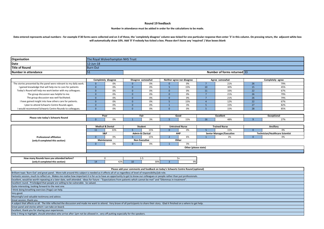#### **Round 19 feedback**

#### **Number in attendance must be added in order for the calculations to be made.**

Data entered represents actual numbers - for example if 30 forms were collected and on 3 of these, the 'completely disagree' column was ticked for one particular response then enter '3' in this column. On pressing return, **will automatically show 10%. Add '0' if nobody has ticked a box. Please don't leave any 'required' / blue boxes blank**

| Organisation                                                                                                                                                                                |                      | The Royal Wolverhampton NHS Trust |                      |                                    |                 |                                                                                   |                 |                                       |                |                                              |  |
|---------------------------------------------------------------------------------------------------------------------------------------------------------------------------------------------|----------------------|-----------------------------------|----------------------|------------------------------------|-----------------|-----------------------------------------------------------------------------------|-----------------|---------------------------------------|----------------|----------------------------------------------|--|
| Date                                                                                                                                                                                        | $12$ -Jun- $18$      |                                   |                      |                                    |                 |                                                                                   |                 |                                       |                |                                              |  |
| <b>Title of Round</b>                                                                                                                                                                       | <b>Burn Out</b>      |                                   |                      |                                    |                 |                                                                                   |                 |                                       |                |                                              |  |
| Number in attendance                                                                                                                                                                        | 51                   |                                   |                      |                                    |                 |                                                                                   |                 | Number of forms returned 33           |                |                                              |  |
|                                                                                                                                                                                             |                      |                                   |                      |                                    |                 |                                                                                   |                 |                                       |                |                                              |  |
|                                                                                                                                                                                             |                      | Completely disagree               |                      | Disagree somewhat                  |                 | Neither agree nor disagree                                                        |                 | Agree somewhat                        |                | Completely agree                             |  |
| The stories presented by the panel were relevant to my daily work.                                                                                                                          | $\Omega$             | 0%                                | $\Omega$             | 0%                                 | $\Omega$        | 0%                                                                                | $\overline{7}$  | 21%                                   | 26             | 79%                                          |  |
| I gained knowledge that will help me to care for patients                                                                                                                                   | $\Omega$             | 0%                                | $\Omega$             | 0%                                 | 5 <sup>5</sup>  | 15%                                                                               | 10              | 30%                                   | 15             | 45%                                          |  |
| Today's Round will help me work better with my colleagues.                                                                                                                                  | $\Omega$             | 0%                                | $\mathbf{0}$         | 0%                                 | $\mathbf{0}$    | 0%                                                                                | 11              | 33%                                   | 22             | 67%                                          |  |
| The group discussion was helpful to me.                                                                                                                                                     | $\mathbf{0}$         | 0%                                | $\mathbf{0}$         | 0%                                 | $\mathbf{0}$    | 0%                                                                                | $7\overline{ }$ | 21%                                   | 26             | 79%                                          |  |
| The group discussion was well facilitated.                                                                                                                                                  | $\mathbf{0}$         | 0%                                | $\mathbf{0}$         | 0%                                 | $\mathbf{0}$    | 0%                                                                                | $7^{\circ}$     | 21%                                   | 26             | 79%                                          |  |
| I have gained insight into how others care for patients.                                                                                                                                    | $\Omega$             | 0%                                | $\mathbf{0}$         | 0%                                 | $5\overline{5}$ | 15%                                                                               | $\overline{4}$  | 12%                                   | 22             | 67%                                          |  |
| I plan to attend Schwartz Centre Rounds again.                                                                                                                                              | $\Omega$             | 0%                                | $\overline{0}$       | 0%                                 | $\mathbf{1}$    | 3%                                                                                | $\overline{5}$  | 15%                                   | 27             | 82%                                          |  |
| I would recommend Schwartz Centre Rounds to colleagues.                                                                                                                                     | $\Omega$             | 0%                                | $\Omega$             | 0%                                 | $\Omega$        | 0%                                                                                | $\overline{5}$  | 15%                                   | 28             | 85%                                          |  |
|                                                                                                                                                                                             |                      |                                   |                      |                                    |                 |                                                                                   |                 |                                       |                |                                              |  |
| Please rate today's Schwartz Round                                                                                                                                                          |                      | Poor                              |                      | Fair                               |                 | Good                                                                              |                 | <b>Excellent</b>                      |                | Exceptional                                  |  |
|                                                                                                                                                                                             | $\Omega$             | 0%                                | $\overline{1}$       | 3%                                 | 5               | 15%                                                                               | 16              | 48%                                   | 9              | 27%                                          |  |
|                                                                                                                                                                                             |                      |                                   |                      |                                    |                 |                                                                                   |                 |                                       |                |                                              |  |
|                                                                                                                                                                                             |                      | <b>Medical &amp; Dental</b>       |                      | <b>Student</b>                     |                 | <b>Untrained Nurse</b>                                                            |                 | <b>Trained Nurse</b>                  |                | Ancillary                                    |  |
|                                                                                                                                                                                             | 33%<br>11<br>S&P     |                                   | 5 <sup>1</sup>       | 15%                                | $\Omega$        | 0%                                                                                | 5 <sup>°</sup>  | 15%                                   | $\Omega$<br>0% |                                              |  |
| <b>Professional affiliation</b>                                                                                                                                                             | $\Omega$             | 0%                                | $\overline{5}$       | <b>Admin &amp; Clerical</b><br>15% | $\overline{2}$  | AHP<br>6%                                                                         | $\overline{1}$  | <b>Senior Manager/Executive</b><br>3% | $\mathbf{0}$   | <b>Technician/Healthcare Scientist</b><br>0% |  |
|                                                                                                                                                                                             | Maintenance          |                                   | <b>Non Executive</b> |                                    | Other           |                                                                                   |                 |                                       |                |                                              |  |
| (only 8 completed this section)                                                                                                                                                             | $\mathbf{0}$         | 0%                                | $\mathbf{0}$         | 0%                                 | $\mathbf{1}$    | 3%                                                                                |                 |                                       |                |                                              |  |
|                                                                                                                                                                                             | Other (please state) |                                   |                      |                                    |                 |                                                                                   |                 |                                       |                |                                              |  |
|                                                                                                                                                                                             |                      |                                   |                      |                                    |                 |                                                                                   |                 |                                       |                |                                              |  |
|                                                                                                                                                                                             |                      |                                   |                      |                                    |                 |                                                                                   |                 |                                       |                |                                              |  |
| How many Rounds have you attended before?                                                                                                                                                   |                      | $\Omega$                          |                      | $1-5$                              |                 | $5+$                                                                              |                 |                                       |                |                                              |  |
| (only 8 completed this section)                                                                                                                                                             | 14                   | 42%                               | 10                   | 30%                                | $\overline{3}$  | 9%                                                                                |                 |                                       |                |                                              |  |
|                                                                                                                                                                                             |                      |                                   |                      |                                    |                 |                                                                                   |                 |                                       |                |                                              |  |
|                                                                                                                                                                                             |                      |                                   |                      |                                    |                 | Please add your comments and feedback on today's Schwartz Centre Round (optional) |                 |                                       |                |                                              |  |
| Brilliant topic 'Burn Out' and great panel. More talk around this subject is needed as it affects all of us regardless of level of responsibility/job role.                                 |                      |                                   |                      |                                    |                 |                                                                                   |                 |                                       |                |                                              |  |
| Fantastic session, much to reflect on. Makes me realise how important it is for us to have an opportunity to get to know our colleagues or people rather than just professionals.           |                      |                                   |                      |                                    |                 |                                                                                   |                 |                                       |                |                                              |  |
| Excellent, would be worth repeating at a later date, well attended. Ideas for future - "Expectations from patients which cannot be met" and "Dilemmas in treatment".                        |                      |                                   |                      |                                    |                 |                                                                                   |                 |                                       |                |                                              |  |
| Excellent round. Priviledged that people are willing to be vulnerable. So valued.                                                                                                           |                      |                                   |                      |                                    |                 |                                                                                   |                 |                                       |                |                                              |  |
| Quite interesting, looking forward to the next one.                                                                                                                                         |                      |                                   |                      |                                    |                 |                                                                                   |                 |                                       |                |                                              |  |
| I think doing breathing exercises (Yoga) can help.                                                                                                                                          |                      |                                   |                      |                                    |                 |                                                                                   |                 |                                       |                |                                              |  |
| Very good.                                                                                                                                                                                  |                      |                                   |                      |                                    |                 |                                                                                   |                 |                                       |                |                                              |  |
| Meaningful and valuable testimony and advice.                                                                                                                                               |                      |                                   |                      |                                    |                 |                                                                                   |                 |                                       |                |                                              |  |
| Great session, thank you.                                                                                                                                                                   |                      |                                   |                      |                                    |                 |                                                                                   |                 |                                       |                |                                              |  |
| A subject that affects us all. The title reflected the discussion and made me want to attend. Very brave of all participants to share their story. Glad it finished on a where to get help. |                      |                                   |                      |                                    |                 |                                                                                   |                 |                                       |                |                                              |  |
| Great panel and stories which I can take on board.                                                                                                                                          |                      |                                   |                      |                                    |                 |                                                                                   |                 |                                       |                |                                              |  |
| Excellent, thank you for sharing your experiences.                                                                                                                                          |                      |                                   |                      |                                    |                 |                                                                                   |                 |                                       |                |                                              |  |
| Only 1 thing to highlight, should attendees who arrive after 1pm not be allowed in, very off putting especially for the speakers.                                                           |                      |                                   |                      |                                    |                 |                                                                                   |                 |                                       |                |                                              |  |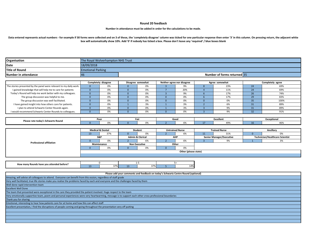#### **Round 20 feedback**

#### **Number in attendance must be added in order for the calculations to be made.**

Data entered represents actual numbers - for example if 30 forms were collected and on 3 of these, the 'completely disagree' column was ticked for one particular response then enter '3' in this column. On pressing return, **box will automatically show 10%. Add '0' if nobody has ticked a box. Please don't leave any 'required' / blue boxes blank**

| Organisation         | The Royal Wolverhampton NHS Trust |                             |  |  |  |  |  |  |  |
|----------------------|-----------------------------------|-----------------------------|--|--|--|--|--|--|--|
| Date                 | 18/09/2018                        |                             |  |  |  |  |  |  |  |
| Title of Round       | <b>Emotional Parking</b>          |                             |  |  |  |  |  |  |  |
| Number in attendance | 140                               | Number of forms returned 35 |  |  |  |  |  |  |  |

|                                                                    | Completely disagree |    | Disagree somewhat |    | Neither agree nor disagree |     | Agree somewhat |     | Completely agree |      |
|--------------------------------------------------------------------|---------------------|----|-------------------|----|----------------------------|-----|----------------|-----|------------------|------|
| The stories presented by the panel were relevant to my daily work. |                     | 0% |                   | 0% |                            | 9%  |                | 23% |                  | 69%  |
| I gained knowledge that will help me to care for patients          |                     | 0% |                   | 0% |                            | 20% |                | 11% |                  | 69%  |
| Today's Round will help me work better with my colleagues.         |                     | 0% |                   | 0% |                            | 9%  |                | 17% |                  | 74%  |
| The group discussion was helpful to me.                            |                     | 0% |                   | 0% |                            | 0%  |                | 17% |                  | 83%  |
| The group discussion was well facilitated.                         |                     | 0% |                   | 0% |                            | 0%  |                | 0%  |                  | 100% |
| I have gained insight into how others care for patients.           |                     | 0% |                   | 3% |                            | 3%  |                | 6%  |                  | 89%  |
| I plan to attend Schwartz Center Rounds again.                     |                     | 0% |                   | 0% |                            | 3%  |                |     |                  | 89%  |
| I would recommend Schwartz Center Rounds to colleagues.            |                     | 0% |                   |    |                            | 0%  |                | 9%  |                  | 91%  |

| rate today's Schwartz Round<br><b>Please</b> | Poc |  |  |  | GOOL |     | Excellen |          | $\sim$ $\sim$ $\sim$ $\sim$<br>Yre |     |
|----------------------------------------------|-----|--|--|--|------|-----|----------|----------|------------------------------------|-----|
|                                              |     |  |  |  |      | U/O |          | .<br>. . |                                    | 407 |

|                                 | <b>Medical &amp; Dental</b> |     |                      | Student                     |       | <b>Untrained Nurse</b> |  | <b>Trained Nurse</b>            |  | Ancillary                              |  |
|---------------------------------|-----------------------------|-----|----------------------|-----------------------------|-------|------------------------|--|---------------------------------|--|----------------------------------------|--|
|                                 |                             | 37% |                      |                             |       | $\sim$<br>6%           |  | 31%                             |  | 0%                                     |  |
|                                 | S&P                         |     |                      | <b>Admin &amp; Clerical</b> |       | AHP                    |  | <b>Senior Manager/Executive</b> |  | <b>Technician/Healthcare Scientist</b> |  |
|                                 |                             | 0%  |                      | 6%                          |       | 6%                     |  | 9%                              |  |                                        |  |
| <b>Professional affiliation</b> | Maintenance                 |     | <b>Non Executive</b> |                             | Other |                        |  |                                 |  |                                        |  |
|                                 |                             | 0%  |                      | 0 <sup>0</sup>              |       | 0%                     |  |                                 |  |                                        |  |
|                                 | Other (please state)        |     |                      |                             |       |                        |  |                                 |  |                                        |  |
|                                 |                             |     |                      |                             |       |                        |  |                                 |  |                                        |  |

| l betore?<br>How many<br>, Rounds have vou attended |                     |    |              |  |     |
|-----------------------------------------------------|---------------------|----|--------------|--|-----|
|                                                     | 270/<br>$\sim$ $/0$ | -- | 270/<br>3/70 |  | 14% |

| Please add your comments and feedback on today's Schwartz Centre Round (optional)                                                                      |
|--------------------------------------------------------------------------------------------------------------------------------------------------------|
| Amazing, will advise all colleagues to attend. Everyone can benefit from this ession, regardless of staff grade                                        |
| Very well facilitated, true life stories make you realise the problems faced by each and everyone and the challenges faced by them                     |
| Well done rapid intervention team                                                                                                                      |
| <b>Excellent Well Done</b>                                                                                                                             |
| The team that presented were exceptional in the care they provided the patient involved. Huge respect to the team                                      |
| Very emotionally supportive team, poem and personal experiences were very heartwarming, message is to support each other cross professional boundaries |
| Thank you for sharing                                                                                                                                  |
| Emotional, interesting to hear how patients care for at home and how this can affect staff                                                             |
| Excellent presentation, I find the disruptions of people coming and going throughout the presentation very off putting                                 |
|                                                                                                                                                        |
|                                                                                                                                                        |
|                                                                                                                                                        |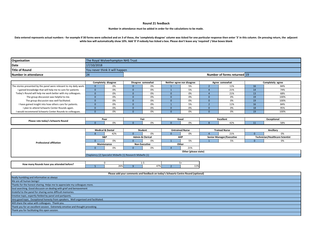#### **Round 21 feedback**

#### **Number in attendance must be added in order for the calculations to be made.**

Data entered represents actual numbers - for example if 30 forms were collected and on 3 of these, the 'completely disagree' column was ticked for one particular response then enter '3' in this column. On pressing return, **white box will automatically show 10%. Add '0' if nobody has ticked a box. Please don't leave any 'required' / blue boxes blank**

| Organisation          |            | The Royal Wolverhampton NHS Trust |  |  |  |  |  |  |  |
|-----------------------|------------|-----------------------------------|--|--|--|--|--|--|--|
| Date                  | 17/10/2018 |                                   |  |  |  |  |  |  |  |
| <b>Title of Round</b> |            | You never think it will happen    |  |  |  |  |  |  |  |
| Number in attendance  | 74         | Number of forms returned 19       |  |  |  |  |  |  |  |

|                                                                    | Completely disagree | Disagree somewhat | Neither agree nor disagree | Agree somewhat |     | Completely agree |      |
|--------------------------------------------------------------------|---------------------|-------------------|----------------------------|----------------|-----|------------------|------|
| The stories presented by the panel were relevant to my daily work. | 0%                  | 0%                | 5%                         |                | 11% |                  | 84%  |
| I gained knowledge that will help me to care for patients          | 0%                  | 0%                | 5%                         |                | 21% |                  | 74%  |
| Today's Round will help me work better with my colleagues.         | 0%                  | 0%                | 0%                         |                | 21% |                  | 68%  |
| The group discussion was helpful to me.                            | 0%                  | 0%                | 0%                         |                | 0%  | 19               | 100% |
| The group discussion was well facilitated.                         | 0%                  | 0%                | 0%                         |                | 0%  | 19               | 100% |
| I have gained insight into how others care for patients.           | 0%                  | 0%                | 5%                         |                | 11% |                  | 84%  |
| I plan to attend Schwartz Center Rounds again.                     | 0%                  | 0%                | 0%                         |                | 0%  | 18               | 95%  |
| I would recommend Schwartz Center Rounds to colleagues.            | 0%                  | 0%                | 0%                         |                | 0%  |                  | 100% |

| Please rate todav's Schwartz Round | Pool |  | . |                        | Good |     | Excellent |  | Exceptiona |                   |
|------------------------------------|------|--|---|------------------------|------|-----|-----------|--|------------|-------------------|
|                                    |      |  |   | $\mathbf{U}$<br>$\sim$ |      | ,,, |           |  |            | n.<br><b>JU/U</b> |

| <b>Medical &amp; Dental</b>                                |     | Student              |                             | <b>Untrained Nurse</b> |            | <b>Trained Nurse</b> |                                 | Ancillary |                                        |  |
|------------------------------------------------------------|-----|----------------------|-----------------------------|------------------------|------------|----------------------|---------------------------------|-----------|----------------------------------------|--|
|                                                            | 42% |                      | 0%                          |                        | 0%         |                      | 21%                             |           | 0%                                     |  |
| S&P                                                        |     |                      | <b>Admin &amp; Clerical</b> |                        | <b>AHP</b> |                      | <b>Senior Manager/Executive</b> |           | <b>Technician/Healthcare Scientist</b> |  |
|                                                            | 0%  |                      | 0%                          |                        | 5%         |                      | Γ <sub>0</sub>                  |           | 0%                                     |  |
| Maintenance                                                |     | <b>Non Executive</b> |                             | Other                  |            |                      |                                 |           |                                        |  |
|                                                            | 0%  |                      | 0%                          |                        | 21%        |                      |                                 |           |                                        |  |
| Other (please state)                                       |     |                      |                             |                        |            |                      |                                 |           |                                        |  |
| Chaplaincy (2) Specialist Midwife (1) Research Midwife (1) |     |                      |                             |                        |            |                      |                                 |           |                                        |  |
|                                                            |     |                      |                             |                        |            |                      |                                 |           |                                        |  |

| How many Rounds have you attended before? |                             |                    |  |               |
|-------------------------------------------|-----------------------------|--------------------|--|---------------|
|                                           | $\sim$ $\sim$<br><b>26%</b> | 170/<br>.70<br>. . |  | 110<br>$+1/r$ |

| Please add your comments and feedback on today's Schwartz Centre Round (optional)   |
|-------------------------------------------------------------------------------------|
| Really humbling and informative as always                                           |
| We are all human beings!                                                            |
| Thanks for the honest sharing. Helps me to appreciate my colleagues more.           |
| Soul searching. Good discussin on dealing with grief and bereavement                |
| Grateful to the panel for sharing some difficult memories.                          |
| Emotive topic, expertly fielded by panel and partipants.                            |
| Very good topic. Exceptional honesty from speakers. Well organised and facilitated. |
| Will share the value with colleagues. Thank you.                                    |
| Thank you for an excellent session. Extremely emotive and thought provoking.        |
| Thank you for facilitating this open session.                                       |
|                                                                                     |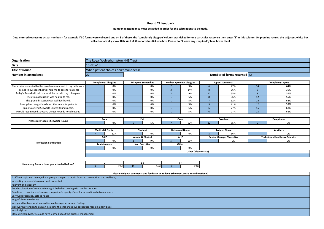#### **Round 22 feedback**

#### **Number in attendance must be added in order for the calculations to be made.**

Data entered represents actual numbers - for example if 30 forms were collected and on 3 of these, the 'completely disagree' column was ticked for one particular response then enter '3' in this column. On pressing return, **will automatically show 10%. Add '0' if nobody has ticked a box. Please don't leave any 'required' / blue boxes blank**

| Organisation         |           | The Roval Wolverhampton NHS Trust     |  |  |  |  |  |  |  |  |
|----------------------|-----------|---------------------------------------|--|--|--|--|--|--|--|--|
| Date                 | 15-Nov-18 |                                       |  |  |  |  |  |  |  |  |
| Title of Round       |           | When patient choices don't make sense |  |  |  |  |  |  |  |  |
| Number in attendance | 2         | <b>Number of forms returned 22</b>    |  |  |  |  |  |  |  |  |

|                                                                    | Completely disagree |  | Disagree somewhat |  | Neither agree nor disagree | Agree somewhat |    | Completely agree |  |
|--------------------------------------------------------------------|---------------------|--|-------------------|--|----------------------------|----------------|----|------------------|--|
| The stories presented by the panel were relevant to my daily work. | 0%                  |  | 0%                |  | 9%                         | 27%            |    | 64%              |  |
| I gained knowledge that will help me to care for patients          | 0%                  |  | 0%                |  | 14%                        | 36%            |    | 36%              |  |
| Today's Round will help me work better with my colleagues.         | 0%                  |  | 0%                |  | 9%                         | 55%            |    | 36%              |  |
| The group discussion was helpful to me.                            | 0%                  |  | 0%                |  | E <sub>0</sub>             | 36%            | 12 | 55%              |  |
| The group discussion was well facilitated.                         | 0%                  |  | 0%                |  | E <sub>0</sub>             | 32%            |    | 64%              |  |
| I have gained insight into how others care for patients.           | 0%                  |  | 0%                |  | E <sub>0</sub>             | 41%            | 12 | 55%              |  |
| I plan to attend Schwartz Center Rounds again.                     | 0%                  |  | 0%                |  | 5%                         | 27%            | 15 | 68%              |  |
| I would recommend Schwartz Center Rounds to colleagues.            | 0%                  |  | 0%                |  | E <sub>0</sub>             | 27%            | 15 | 68%              |  |

| Please rate today's Schwartz Round | POO. |  | rа |  | <b>Goot</b> |         | <b>xcellen</b><br>וטונ |            | Exceptiona |  |
|------------------------------------|------|--|----|--|-------------|---------|------------------------|------------|------------|--|
|                                    |      |  |    |  |             | $- - -$ |                        | ---<br>ししハ |            |  |

|                                 | <b>Medical &amp; Dental</b> |     |                             | Student |       | <b>Untrained Nurse</b> |                                 | <b>Trained Nurse</b> |                                 | Ancillary |  |
|---------------------------------|-----------------------------|-----|-----------------------------|---------|-------|------------------------|---------------------------------|----------------------|---------------------------------|-----------|--|
|                                 |                             | 32% |                             | 0%      |       | 0%                     |                                 | 36%                  |                                 | 0%        |  |
|                                 | S&P                         |     | <b>Admin &amp; Clerical</b> |         | AHP   |                        | <b>Senior Manager/Executive</b> |                      | Technician/Healthcare Scientist |           |  |
|                                 |                             | 0%  |                             |         |       | 23%                    |                                 | 0%                   |                                 | 0%        |  |
| <b>Professional affiliation</b> | Maintenance                 |     | <b>Non Executive</b>        |         | Other |                        |                                 |                      |                                 |           |  |
|                                 |                             | 0%  |                             | 0%      |       | 0%                     |                                 |                      |                                 |           |  |
|                                 | Other (please state)        |     |                             |         |       |                        |                                 |                      |                                 |           |  |
|                                 |                             |     |                             |         |       |                        |                                 |                      |                                 |           |  |

| How many Rounds have you attended before? |                     |     |               |  |               |  |
|-------------------------------------------|---------------------|-----|---------------|--|---------------|--|
|                                           | 220'<br><b>2570</b> | --- | E E OZ<br>うつヅ |  | 220<br>70 د ک |  |

| Please add your comments and feedback on today's Schwartz Centre Round (optional)              |
|------------------------------------------------------------------------------------------------|
| A difficult topic well managed and group managed to retain focussed on emotions and wellbeing  |
| Interesting case and discussion well presented                                                 |
| <b>Relevant and excellent</b>                                                                  |
| Good exploration of common feelings I feel when dealing with similar situation                 |
| Beneficial to practice - refocus on compasion/empahty. Good for interactions between teams     |
| Very well presented, able to relate                                                            |
| Insightful story to discuss                                                                    |
| Very good to share what seems like similar experiences and feelings                            |
| Well worth attendign to gain an insight to the challenges our colleagues face on a daily basis |
| Very insightful                                                                                |
| More clinical advice, we could have learned about the disease, management                      |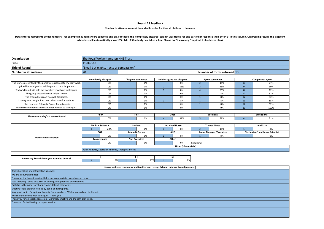#### **Round 23 feedback**

#### **Number in attendance must be added in order for the calculations to be made.**

#### Data entered represents actual numbers - for example if 30 forms were collected and on 3 of these, the 'completely disagree' column was ticked for one particular response then enter '3' in this column. On pressing return, **white box will automatically show 10%. Add '0' if nobody has ticked a box. Please don't leave any 'required' / blue boxes blank**

| Organisation         |           | The Royal Wolverhampton NHS Trust       |  |  |  |  |  |  |  |
|----------------------|-----------|-----------------------------------------|--|--|--|--|--|--|--|
| Date                 | L1-Dec-18 |                                         |  |  |  |  |  |  |  |
| Title of Round       |           | "Small but mighty - acts of compassion" |  |  |  |  |  |  |  |
| Number in attendance | 20        | Number of forms returned 13             |  |  |  |  |  |  |  |

|                                                                    | Completely disagree | Disagree somewhat | Neither agree nor disagree | Agree somewhat | Completely agree |
|--------------------------------------------------------------------|---------------------|-------------------|----------------------------|----------------|------------------|
| The stories presented by the panel were relevant to my daily work. | 0%                  | 0%                | 0%                         | 15%            | 77%              |
| I gained knowledge that will help me to care for patients          | 0%                  | 0%                | 15%                        | 15%            | 69%              |
| Today's Round will help me work better with my colleagues.         | 0%                  | 0%                | 8%                         | 31%            | 62%              |
| The group discussion was helpful to me.                            | 0%                  | 0%                | 0%                         | 8%             | 92%              |
| The group discussion was well facilitated.                         | 0%                  | 0%                | 0%                         | 8%             | 92%              |
| I have gained insight into how others care for patients.           | 0%                  | 0%                | 8%                         | 8%             | 85%              |
| I plan to attend Schwartz Center Rounds again.                     | 0%                  | 0%                | 0%                         | 8%             | 92%              |
| I would recommend Schwartz Center Rounds to colleagues.            | 0%                  | 0%                | 0%                         | 0%             | 100%             |

| Please rate today's Schwartz Round | --<br>∕nnr<br><u>vv</u> |          | raı |     | Good |                         | <b>Excellent</b> |          | Exceptional |                    |
|------------------------------------|-------------------------|----------|-----|-----|------|-------------------------|------------------|----------|-------------|--------------------|
|                                    |                         | $\Gamma$ |     | - - |      | $\cdots$<br><b>JI/0</b> |                  | $\cdots$ |             | <b>240</b><br>-31% |

|                                 | <b>Medical &amp; Dental</b>                         |     | Student              |                             | <b>Untrained Nurse</b> |     | <b>Trained Nurse</b> |                                 | Ancillary |                                 |  |
|---------------------------------|-----------------------------------------------------|-----|----------------------|-----------------------------|------------------------|-----|----------------------|---------------------------------|-----------|---------------------------------|--|
| <b>Professional affiliation</b> |                                                     | 23% |                      | 0%                          |                        | 8%  |                      | 15%                             |           | 8%                              |  |
|                                 | S&P                                                 |     |                      | <b>Admin &amp; Clerical</b> |                        | AHP |                      | <b>Senior Manager/Executive</b> |           | Technician/Healthcare Scientist |  |
|                                 |                                                     | 0%  |                      | 0%                          |                        | 8%  |                      | 8%                              |           | 0%                              |  |
|                                 | Maintenance                                         |     | <b>Non Executive</b> |                             | Other                  |     |                      |                                 |           |                                 |  |
|                                 |                                                     | 0%  |                      | 0%                          |                        |     | Chaplaincy           |                                 |           |                                 |  |
|                                 | Other (please state)                                |     |                      |                             |                        |     |                      |                                 |           |                                 |  |
|                                 | Audit Midwife, Specialist Midwife, Therapy Services |     |                      |                             |                        |     |                      |                                 |           |                                 |  |

| ' Rounds have you attended before?<br>How -<br>. many |     |   |                    |  |           |  |
|-------------------------------------------------------|-----|---|--------------------|--|-----------|--|
|                                                       | O/0 | . | $- - -$<br>. ن، رن |  | ດດ<br>O/C |  |

| Please add your comments and feedback on today's Schwartz Centre Round (optional)   |
|-------------------------------------------------------------------------------------|
| Really humbling and informative as always                                           |
| We are all human beings!                                                            |
| Thanks for the honest sharing. Helps me to appreciate my colleagues more.           |
| Soul searching. Good discussin on dealing with grief and bereavement                |
| Grateful to the panel for sharing some difficult memories.                          |
| Emotive topic, expertly fielded by panel and partipants.                            |
| Very good topic. Exceptional honesty from speakers. Well organised and facilitated. |
| Will share the value with colleagues. Thank you.                                    |
| Thank you for an excellent session. Extremely emotive and thought provoking.        |
| Thank you for facilitating this open session.                                       |
|                                                                                     |
|                                                                                     |
|                                                                                     |
|                                                                                     |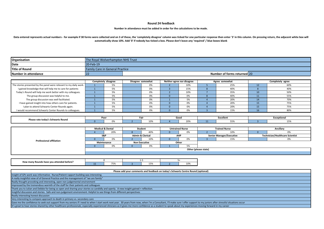#### **Round 24 feedback**

#### **Number in attendance must be added in order for the calculations to be made.**

Data entered represents actual numbers - for example if 30 forms were collected and on 3 of these, the 'completely disagree' column was ticked for one particular response then enter '3' in this column. On pressing return, **automatically show 10%. Add '0' if nobody has ticked a box. Please don't leave any 'required' / blue boxes blank**

| Organisation         | The Royal Wolverhampton NHS Trust |                                        |  |  |  |  |  |  |
|----------------------|-----------------------------------|----------------------------------------|--|--|--|--|--|--|
| Date                 | 20-Feb-19                         |                                        |  |  |  |  |  |  |
| Title of Round       |                                   | <b>Family Care in General Practice</b> |  |  |  |  |  |  |
| Number in attendance |                                   | Number of forms returned 20            |  |  |  |  |  |  |

|                                                                    | Completely disagree |  | Disagree somewhat | Neither agree nor disagree | Agree somewhat | Completely agree |  |
|--------------------------------------------------------------------|---------------------|--|-------------------|----------------------------|----------------|------------------|--|
| The stories presented by the panel were relevant to my daily work. |                     |  | 0%                | 10%                        | 25%            | 60%              |  |
| I gained knowledge that will help me to care for patients          | 5%                  |  | 0%                | 15%                        | 40%            | 40%              |  |
| Today's Round will help me work better with my colleagues.         | E0/<br>J 70         |  | 0%                | 10%                        | 35%            | 50%              |  |
| The group discussion was helpful to me.                            | 5%                  |  | 0%                | 0%                         | 40%            | 55%              |  |
| The group discussion was well facilitated.                         | 5%                  |  | 0%                | 5%                         | 20%            | 70%              |  |
| I have gained insight into how others care for patients.           | 5%                  |  | 0%                | 0%                         | 20%            | 75%              |  |
| I plan to attend Schwartz Center Rounds again.                     |                     |  | 0%                | 0%                         | 20%            | 75%              |  |
| I would recommend Schwartz Center Rounds to colleagues.            |                     |  |                   | 0%                         | 15%            | 80%              |  |
|                                                                    |                     |  |                   |                            |                |                  |  |

|                                    | Poo |  | Fdi. |                        | uuu |             | Excellen. |  | ™≏otiona. |  |
|------------------------------------|-----|--|------|------------------------|-----|-------------|-----------|--|-----------|--|
| Please rate today's Schwartz Round |     |  |      | $(1)$ %<br><b>1000</b> |     | ---<br>ZU70 |           |  |           |  |

|                                 | <b>Medical &amp; Dental</b> |     | Student                     |     | <b>Untrained Nurse</b> |                | <b>Trained Nurse</b>            |     | Ancillary                              |    |  |
|---------------------------------|-----------------------------|-----|-----------------------------|-----|------------------------|----------------|---------------------------------|-----|----------------------------------------|----|--|
|                                 |                             | 20% |                             | 40% |                        |                |                                 | 10% |                                        | 0% |  |
|                                 | S&P                         |     | <b>Admin &amp; Clerical</b> |     | <b>AHP</b>             |                | <b>Senior Manager/Executive</b> |     | <b>Technician/Healthcare Scientist</b> |    |  |
| <b>Professional affiliation</b> |                             | J%  |                             | 10% |                        | U%             |                                 | 15% |                                        | U% |  |
|                                 | Maintenance                 |     | <b>Non Executive</b>        |     | Other                  |                |                                 |     |                                        |    |  |
|                                 |                             |     |                             | 0%  |                        | F <sub>0</sub> |                                 |     |                                        |    |  |
|                                 | Other (please state)        |     |                             |     |                        |                |                                 |     |                                        |    |  |
|                                 |                             |     |                             |     |                        |                |                                 |     |                                        |    |  |

| How many Rounds have you attended before? |     |              | - |                       |  |       |  |
|-------------------------------------------|-----|--------------|---|-----------------------|--|-------|--|
|                                           | . . | $- -$<br>ر ر |   | 50 <sub>0</sub><br>ᆚᆚ |  | TO YO |  |

| Please add your comments and feedback on today's Schwartz Centre Round (optional)                                                                                                                                            |  |  |  |  |  |
|------------------------------------------------------------------------------------------------------------------------------------------------------------------------------------------------------------------------------|--|--|--|--|--|
| Insight of GPs work was informative. Nurse/Patient rapport building was interesting.                                                                                                                                         |  |  |  |  |  |
| A really insightful view of of General Practice and the management of "we are family"                                                                                                                                        |  |  |  |  |  |
| Really thought provoking and interesting, open non judgemental environment                                                                                                                                                   |  |  |  |  |  |
| Impressed by the tremendous warmth of the staff for their patients and colleagues                                                                                                                                            |  |  |  |  |  |
| Thank you to Julian and Debbie for being so open and sharing your stories so candidly and openly. A new insight gained + reflection.                                                                                         |  |  |  |  |  |
| Insighful discussion and stories. Safe and non-judgement environment. Helpful to see things from different perspectives                                                                                                      |  |  |  |  |  |
| Really interesting honest discussion                                                                                                                                                                                         |  |  |  |  |  |
| Very interesting to compare approach to death in primary vs. secondary care                                                                                                                                                  |  |  |  |  |  |
| Gave me the confidence to seek out support from my seniors if I need to when I start work next year. 30 years from now, when I'm a Consultant, I'll make sure I offer support to my juniors after stressful situations occur |  |  |  |  |  |
| It's great to hear stories shared by other healthcare professionals, especially experienced clinicians as it gives me more confidence as a student to speak about my experiences moving forward in my career                 |  |  |  |  |  |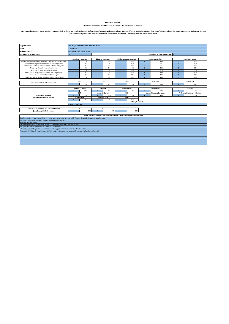#### **Round 25 feedback Number in attendance must be added in order for the calculations to be made.**

### Data entered represents actual numbers - for example if 30 forms were collected and on 3 of these, the 'completely disagree' column was ticked for one particular response then enter '3' in this column. On pressing return,

| Organisation                                                                             | The Royal Wolverhampton NHS Trust                                                                                          |                                  |              |                                   |                |                            |                |                                 |              |                                        |
|------------------------------------------------------------------------------------------|----------------------------------------------------------------------------------------------------------------------------|----------------------------------|--------------|-----------------------------------|----------------|----------------------------|----------------|---------------------------------|--------------|----------------------------------------|
| Date                                                                                     | 21-Mar-19                                                                                                                  |                                  |              |                                   |                |                            |                |                                 |              |                                        |
| <b>Title of Round</b>                                                                    |                                                                                                                            | <b>Overseas Staff Experience</b> |              |                                   |                |                            |                |                                 |              |                                        |
| Number in attendance                                                                     | 18                                                                                                                         |                                  |              |                                   |                |                            |                | Number of forms returned 10     |              |                                        |
|                                                                                          |                                                                                                                            |                                  |              |                                   |                |                            |                |                                 |              |                                        |
|                                                                                          | Completely disagree                                                                                                        |                                  |              | Disagree somewhat                 |                | Neither agree nor disagree |                | Agree somewhat                  |              | Completely agree                       |
| The stories presented by the panel were relevant to my daily work.                       |                                                                                                                            | 0%                               |              | 0%                                |                | 10%                        |                | 10%                             | 8            | 80%                                    |
| I gained knowledge that will help me to care for patients                                |                                                                                                                            | 0%                               |              | 0%                                | $\overline{4}$ | 40%                        | $\mathbf{0}$   | 0%                              | 5            | 50%                                    |
| Today's Round will help me work better with my colleagues.                               |                                                                                                                            | 0%                               |              | 0%                                | $\mathbf{1}$   | 10%                        | $\Omega$       | 0%                              | $\mathbf{q}$ | 90%                                    |
| The group discussion was helpful to me.                                                  |                                                                                                                            | 0%                               |              | 0%                                | $\mathbf{0}$   | 0%                         | h              | 10%                             | $\mathbf{R}$ | 80%                                    |
| The group discussion was well facilitated.                                               |                                                                                                                            | 0%                               |              | 0%                                | $\mathbf{1}$   | 10%                        | $\Omega$       | 0%                              | 9            | 90%                                    |
| I have gained insight into how others care for patients.                                 |                                                                                                                            | 0%                               |              | 0%                                | $\mathbf{1}$   | 10%                        | $\overline{1}$ | 10%                             | 8            | 80%                                    |
| I plan to attend Schwartz Centre Rounds again.                                           |                                                                                                                            | 0%                               |              | 0%                                | $\mathbf{1}$   | 10%                        | 1              | 10%                             | 8            | 80%                                    |
| I would recommend Schwartz Centre Rounds to colleagues.                                  |                                                                                                                            | 0%                               |              | 0%                                | $\mathbf{1}$   | 10%                        | $\overline{1}$ | 10%                             | 8            | 80%                                    |
|                                                                                          |                                                                                                                            |                                  |              |                                   |                |                            |                |                                 |              |                                        |
| Please rate today's Schwartz Round                                                       | Poor                                                                                                                       |                                  | Fair         |                                   | Good           |                            | Excellent      |                                 |              | Exceptional                            |
|                                                                                          |                                                                                                                            | 0%                               |              | 0%                                |                | 0%                         | 6              | 60%                             | в            | 30%                                    |
|                                                                                          |                                                                                                                            |                                  |              |                                   |                |                            |                |                                 |              |                                        |
|                                                                                          | <b>Medical &amp; Dental</b>                                                                                                |                                  | Student      |                                   |                | <b>Untrained Nurse</b>     |                | <b>Trained Nurse</b>            |              | Ancillary                              |
|                                                                                          | В                                                                                                                          | 30%<br>S&P                       | $\Omega$     | 0%<br><b>Admin &amp; Clerical</b> | $\mathbf{0}$   | 0%<br>AHP                  | $\overline{5}$ | 50%                             | $\Omega$     | 0%                                     |
|                                                                                          |                                                                                                                            |                                  |              |                                   |                |                            |                | <b>Senior Manager/Executive</b> |              | <b>Technician/Healthcare Scientist</b> |
| <b>Professional affiliation</b>                                                          | $\Omega$                                                                                                                   | 0%<br>Maintenance                |              | 10%<br><b>Non Executive</b>       | $\Omega$       | 0%                         | п              | 10%                             | $\Omega$     | 0%                                     |
| (only 8 completed this section)                                                          | $\mathbf{0}$                                                                                                               | 0%                               | $\mathbf{0}$ | 0%                                | $\overline{5}$ | Other<br>50%               |                |                                 |              |                                        |
|                                                                                          |                                                                                                                            |                                  |              |                                   |                | Other (please state)       |                |                                 |              |                                        |
|                                                                                          | Chaplaincy, Assistant                                                                                                      |                                  |              |                                   |                |                            |                |                                 |              |                                        |
|                                                                                          |                                                                                                                            |                                  |              |                                   |                |                            |                |                                 |              |                                        |
| How many Rounds have you attended before?                                                |                                                                                                                            | $\Omega$                         |              | $1 - 5$                           |                | $5+$                       |                |                                 |              |                                        |
| (only 8 completed this section)                                                          | 6                                                                                                                          | 60%                              |              | 30%                               |                | 10%                        |                |                                 |              |                                        |
|                                                                                          |                                                                                                                            |                                  |              |                                   |                |                            |                |                                 |              |                                        |
| Please add your comments and feedback on today's Schwartz Centre Round (optional)        |                                                                                                                            |                                  |              |                                   |                |                            |                |                                 |              |                                        |
|                                                                                          | Excellent session - thought provoking - we need to enhance our systems at RWT. Forums close to Dr Induction would be good. |                                  |              |                                   |                |                            |                |                                 |              |                                        |
| It was very interesting. Everyone contributed and shared their bit.                      |                                                                                                                            |                                  |              |                                   |                |                            |                |                                 |              |                                        |
| Very well and informative.                                                               |                                                                                                                            |                                  |              |                                   |                |                            |                |                                 |              |                                        |
| It was really helpful for a newcomer like me. Really looking forward to another session. |                                                                                                                            |                                  |              |                                   |                |                            |                |                                 |              |                                        |
| Really helpful and enjoyable session. Thank you to the panel                             |                                                                                                                            |                                  |              |                                   |                |                            |                |                                 |              |                                        |

Interesting topic today, makes you consider how to support overseas peers during their inductions. Fascinating insight and reflection from staff will enable better communication with overseas staff and those from UK.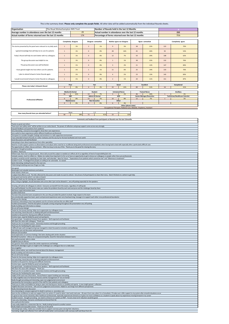| This is the summary sheet. Please only complete the purple fields. All other data will be added automatically from the individual Rounds sheets.                                                                                                                                                                                                 |                        |                                                                |                |                                   |                                                                                                             |                      |    |                                       |     |                                              |
|--------------------------------------------------------------------------------------------------------------------------------------------------------------------------------------------------------------------------------------------------------------------------------------------------------------------------------------------------|------------------------|----------------------------------------------------------------|----------------|-----------------------------------|-------------------------------------------------------------------------------------------------------------|----------------------|----|---------------------------------------|-----|----------------------------------------------|
| The Royal Wolverhampton NHS Trust<br>Organisation<br>Number of Rounds held in the last 12 Months                                                                                                                                                                                                                                                 |                        |                                                                |                |                                   |                                                                                                             |                      |    |                                       |     |                                              |
| Average number in attendance over the last 12 months<br>Actual number of forms returned over the last 12 months                                                                                                                                                                                                                                  |                        | 29<br>174                                                      |                |                                   | Actual number in attendance over the last 12 months<br>Percentage of forms returned over the last 12 months |                      |    | 232<br>75%                            |     |                                              |
|                                                                                                                                                                                                                                                                                                                                                  |                        |                                                                |                |                                   |                                                                                                             |                      |    |                                       |     |                                              |
|                                                                                                                                                                                                                                                                                                                                                  | Completely disagree    |                                                                |                | Disagree somewhat                 | Neither agree nor disagree                                                                                  |                      |    | Agree somewhat                        |     | Completely agree                             |
| The stories presented by the panel were relevant to my daily work.                                                                                                                                                                                                                                                                               | $\mathbf{1}$           | 1%                                                             | $\overline{2}$ | 1%                                | $9$                                                                                                         | 5%                   | 38 | 22%                                   | 122 | 70%                                          |
| I gained knowledge that will help me to care for patients                                                                                                                                                                                                                                                                                        | $\,$ 1 $\,$            | 1%                                                             | $\mathbf{0}$   | 0%                                | 28                                                                                                          | 16%                  | 45 | 26%                                   | 92  | 53%                                          |
| Today's Round will help me work better with my colleagues.                                                                                                                                                                                                                                                                                       | $\,$ 1 $\,$            | 1%                                                             | $\mathbf{0}$   | 0%                                | 12                                                                                                          | 7%                   | 50 | 29%                                   | 108 | 62%                                          |
| The group discussion was helpful to me.                                                                                                                                                                                                                                                                                                          | $\,$ 1 $\,$            | 1%                                                             | $\mathbf{0}$   | 0%                                | $\,$ 1                                                                                                      | 1%                   | 38 | 22%                                   | 132 | 76%                                          |
| The group discussion was well facilitated.                                                                                                                                                                                                                                                                                                       | $\,$ 1 $\,$            | 1%                                                             | $\mathbf{0}$   | 0%                                | $\ensuremath{\mathsf{3}}$                                                                                   | 2%                   | 21 | 12%                                   | 147 | 84%                                          |
| I have gained insight into how others care for patients.                                                                                                                                                                                                                                                                                         | $\mathbf 1$            | 1%                                                             | $\mathbf{1}$   | 1%                                | 11                                                                                                          | 6%                   | 25 | 14%                                   | 133 | 76%                                          |
| I plan to attend Schwartz Center Rounds again.                                                                                                                                                                                                                                                                                                   | $\mathbf{1}$           | 1%                                                             | $\mathbf{0}$   | 0%                                | $\overline{4}$                                                                                              | 2%                   | 23 | 13%                                   | 145 | 83%                                          |
| I would recommend Schwartz Center Rounds to colleagues.                                                                                                                                                                                                                                                                                          | $\mathbf{1}$           | 1%                                                             | $\mathbf 0$    | 0%                                | $\overline{2}$                                                                                              | 1%                   | 20 | 11%                                   | 151 | 87%                                          |
| Please rate today's Schwartz Round                                                                                                                                                                                                                                                                                                               |                        | <b>Exceptional</b><br>Poor<br>Fair<br>Good<br><b>Excellent</b> |                |                                   |                                                                                                             |                      |    |                                       |     |                                              |
|                                                                                                                                                                                                                                                                                                                                                  | $\mathbf{0}$           | 0%                                                             | $\overline{4}$ | 2%                                | 23                                                                                                          | 13%                  | 89 | 51%                                   | 54  | 31%                                          |
|                                                                                                                                                                                                                                                                                                                                                  | 56                     | <b>Medical &amp; Dental</b><br>32%                             | 13             | Student<br>7%                     | <b>Untrained Nurse</b><br>$\overline{3}$                                                                    | 2%                   | 46 | <b>Trained Nurse</b><br>26%           |     | Ancillary<br>1%                              |
|                                                                                                                                                                                                                                                                                                                                                  | S&P<br>$\mathbf{0}$    | 0%                                                             | 13             | <b>Admin &amp; Clerical</b><br>7% | AHP<br>$14\,$                                                                                               | 8%                   | 12 | <b>Senior Manager/Executive</b><br>7% |     | <b>Technician/Healthcare Scientist</b><br>1% |
| <b>Professional affiliation</b>                                                                                                                                                                                                                                                                                                                  | Maintenance<br>$\circ$ | 0%                                                             | $\overline{0}$ | <b>Non Executive</b><br>0%        | Other<br>6                                                                                                  | 3%                   |    |                                       |     |                                              |
|                                                                                                                                                                                                                                                                                                                                                  |                        |                                                                |                |                                   | Occupational Therapist, Palliative Care, Midwife, Chaplaincy, Assistant                                     | Other (please state) |    |                                       |     |                                              |
|                                                                                                                                                                                                                                                                                                                                                  |                        | None                                                           |                | $1 - 5$                           |                                                                                                             |                      |    |                                       |     |                                              |
| How many Rounds have you attended before?                                                                                                                                                                                                                                                                                                        | 66                     | 38%                                                            | 72             | 41%                               | 23                                                                                                          | 13%                  |    |                                       |     |                                              |
|                                                                                                                                                                                                                                                                                                                                                  |                        |                                                                |                |                                   | Comments and feedback from participants at Rounds over the last 12months                                    |                      |    |                                       |     |                                              |
| Thanks to panel and others<br>"have your own safety valve" will be written on our notice board. The power of reflection and group support came across very strongly                                                                                                                                                                              |                        |                                                                |                |                                   |                                                                                                             |                      |    |                                       |     |                                              |
| Enjoyed feedback and questions from audience<br>Very interesting, everyone encouraged to show their own experiences                                                                                                                                                                                                                              |                        |                                                                |                |                                   |                                                                                                             |                      |    |                                       |     |                                              |
| Very useful to share experiences within different healthcare professional                                                                                                                                                                                                                                                                        |                        |                                                                |                |                                   |                                                                                                             |                      |    |                                       |     |                                              |
| Time given to consider thoughts, feelings and emotions in a safe supportive environment<br>I have attended Schwartz Rounds at 2 other institutes and this was by far the best facilitated and most useful                                                                                                                                        |                        |                                                                |                |                                   |                                                                                                             |                      |    |                                       |     |                                              |
| Good discussions and well facilitated<br>Interesting to hear about experiences from other specialties                                                                                                                                                                                                                                            |                        |                                                                |                |                                   |                                                                                                             |                      |    |                                       |     |                                              |
| Need for in built support systems to allow balance and adjust when need be to recallibrate being both professional and empathetic when having had to deal with especially after a particularly difficult case.<br>The opportunity to reflect, discuss and learn. Often too busy to do any of this. Thank you to the panel for sharing the story  |                        |                                                                |                |                                   |                                                                                                             |                      |    |                                       |     |                                              |
| Emotional, thought provoking<br>Excellent - thank you                                                                                                                                                                                                                                                                                            |                        |                                                                |                |                                   |                                                                                                             |                      |    |                                       |     |                                              |
| Brilliant topic 'Burn Out' and great panel. More talk around this subject is needed as it affects all of us regardless of level of responsibility/job role.<br>Fantastic session, much to reflect on. Makes me realise how important it is for us to have an opportunity to get to know our colleagues or people rather than just professionals. |                        |                                                                |                |                                   |                                                                                                             |                      |    |                                       |     |                                              |
| Excellent, would be worth repeating at a later date, well attended. Ideas for future - "Expectations from patients which cannot be met" and "Dilemmas in treatment".<br>Excellent round. Priviledged that people are willing to be vulnerable. So valued.                                                                                        |                        |                                                                |                |                                   |                                                                                                             |                      |    |                                       |     |                                              |
| Quite interesting, looking forward to the next one.<br>I think doing breathing exercises (Yoga) can help.                                                                                                                                                                                                                                        |                        |                                                                |                |                                   |                                                                                                             |                      |    |                                       |     |                                              |
| Very good.<br>Meaningful and valuable testimony and advice.                                                                                                                                                                                                                                                                                      |                        |                                                                |                |                                   |                                                                                                             |                      |    |                                       |     |                                              |
| Great session, thank you.<br>A subject that affects us all. The title reflected the discussion and made me want to attend. Very brave of all participants to share their story. Glad it finished on a where to get help.                                                                                                                         |                        |                                                                |                |                                   |                                                                                                             |                      |    |                                       |     |                                              |
| Great panel and stories which I can take on board.<br>Excellent, thank you for sharing your experiences.                                                                                                                                                                                                                                         |                        |                                                                |                |                                   |                                                                                                             |                      |    |                                       |     |                                              |
| Only 1 thing to highlight, should attendees who arrive after 1pm not be allowed in, very off putting especially for the speakers.                                                                                                                                                                                                                |                        |                                                                |                |                                   |                                                                                                             |                      |    |                                       |     |                                              |
| Amazing, will advise all colleagues to attend. Everyone can benefit from this ession, regardless of staff grade<br>Very well facilitated, true life stories make you realise the problems faced by each and everyone and the challenges faced by them                                                                                            |                        |                                                                |                |                                   |                                                                                                             |                      |    |                                       |     |                                              |
| Well done rapid intervention team<br><b>Excellent Well Done</b>                                                                                                                                                                                                                                                                                  |                        |                                                                |                |                                   |                                                                                                             |                      |    |                                       |     |                                              |
| The team that presented were exceptional in the care they provided the patient involved. Huge respect to the team<br>Very emotionally supportive team, poem and personal experiences were very heartwarming, message is to support each other cross professional boundaries                                                                      |                        |                                                                |                |                                   |                                                                                                             |                      |    |                                       |     |                                              |
| Thank you for sharing<br>Emotional, interesting to hear how patients care for at home and how this can affect staff                                                                                                                                                                                                                              |                        |                                                                |                |                                   |                                                                                                             |                      |    |                                       |     |                                              |
| Excellent presentation, I find the disruptions of people coming and going throughout the presentation very off putting<br>Really humbling and informative as always                                                                                                                                                                              |                        |                                                                |                |                                   |                                                                                                             |                      |    |                                       |     |                                              |
| We are all human beings!<br>Thanks for the honest sharing. Helps me to appreciate my colleagues more.                                                                                                                                                                                                                                            |                        |                                                                |                |                                   |                                                                                                             |                      |    |                                       |     |                                              |
| Soul searching. Good discussin on dealing with grief and bereavement<br>Grateful to the panel for sharing some difficult memories.                                                                                                                                                                                                               |                        |                                                                |                |                                   |                                                                                                             |                      |    |                                       |     |                                              |
| Emotive topic, expertly fielded by panel and partipants.<br>Very good topic. Exceptional honesty from speakers. Well organised and facilitated.                                                                                                                                                                                                  |                        |                                                                |                |                                   |                                                                                                             |                      |    |                                       |     |                                              |
| Will share the value with colleagues. Thank you.<br>Thank you for an excellent session. Extremely emotive and thought provoking.                                                                                                                                                                                                                 |                        |                                                                |                |                                   |                                                                                                             |                      |    |                                       |     |                                              |
| Thank you for facilitating this open session.<br>A difficult topic well managed and group managed to retain focussed on emotions and wellbeing                                                                                                                                                                                                   |                        |                                                                |                |                                   |                                                                                                             |                      |    |                                       |     |                                              |
| Interesting case and discussion well presented<br>Relevant and excellent                                                                                                                                                                                                                                                                         |                        |                                                                |                |                                   |                                                                                                             |                      |    |                                       |     |                                              |
| Good exploration of common feelings I feel when dealing with similar situation<br>Beneficial to practice - refocus on compasion/empahty. Good for interactions between teams                                                                                                                                                                     |                        |                                                                |                |                                   |                                                                                                             |                      |    |                                       |     |                                              |
| Very well presented, able to relate<br>Insightful story to discuss                                                                                                                                                                                                                                                                               |                        |                                                                |                |                                   |                                                                                                             |                      |    |                                       |     |                                              |
| Very good to share what seems like similar experiences and feelings<br>Well worth attendign to gain an insight to the challenges our colleagues face on a daily basis                                                                                                                                                                            |                        |                                                                |                |                                   |                                                                                                             |                      |    |                                       |     |                                              |
| Very insightful<br>More clinical advice, we could have learned about the disease, management                                                                                                                                                                                                                                                     |                        |                                                                |                |                                   |                                                                                                             |                      |    |                                       |     |                                              |
| Really humbling and informative as always<br>We are all human beings!                                                                                                                                                                                                                                                                            |                        |                                                                |                |                                   |                                                                                                             |                      |    |                                       |     |                                              |
| Thanks for the honest sharing. Helps me to appreciate my colleagues more<br>Soul searching. Good discussin on dealing with grief and bereavement                                                                                                                                                                                                 |                        |                                                                |                |                                   |                                                                                                             |                      |    |                                       |     |                                              |
| Grateful to the panel for sharing some difficult memories<br>Emotive topic, expertly fielded by panel and partipants.                                                                                                                                                                                                                            |                        |                                                                |                |                                   |                                                                                                             |                      |    |                                       |     |                                              |
| Very good topic. Exceptional honesty from speakers. Well organised and facilitated.<br>Will share the value with colleagues. Thank you.                                                                                                                                                                                                          |                        |                                                                |                |                                   |                                                                                                             |                      |    |                                       |     |                                              |
| Thank you for an excellent session. Extremely emotive and thought provoking.<br>Thank you for facilitating this open session                                                                                                                                                                                                                     |                        |                                                                |                |                                   |                                                                                                             |                      |    |                                       |     |                                              |
| Insight of GPs work was informative. Nurse/Patient rapport building was interesting<br>A really insightful view of of General Practice and the management of "we are family"                                                                                                                                                                     |                        |                                                                |                |                                   |                                                                                                             |                      |    |                                       |     |                                              |
| Really thought provoking and interesting, open non judgemental environment<br>Impressed by the tremendous warmth of the staff for their patients and colleagues                                                                                                                                                                                  |                        |                                                                |                |                                   |                                                                                                             |                      |    |                                       |     |                                              |
| Thank you to Julian and Debbie for being so open and sharing your stories so candidly and openly. A new insight gained + reflection.                                                                                                                                                                                                             |                        |                                                                |                |                                   |                                                                                                             |                      |    |                                       |     |                                              |
| Insighful discussion and stories. Safe and non-judgement environment. Helpful to see things from different perspectives<br>Really interesting honest discussion<br>Very interesting to compare approach to death in primary vs. secondary care                                                                                                   |                        |                                                                |                |                                   |                                                                                                             |                      |    |                                       |     |                                              |
| Gave me the confidence to seek out support from my seniors if I need to when I start work next year. 30 years from now, when I'm a Consultant, I'll make sure I offer support to my juniors after stressful situations occur                                                                                                                     |                        |                                                                |                |                                   |                                                                                                             |                      |    |                                       |     |                                              |
| It's great to hear stories shared by other healthcare professionals, especially experienced clinicians as it gives me more confidence as a student to speak about my experiences moving forward in my career<br>Excellent session - thought provoking - we need to enhance our systems at RWT. Forums close to Dr Induction would be good.       |                        |                                                                |                |                                   |                                                                                                             |                      |    |                                       |     |                                              |
| It was very interesting. Everyone contributed and shared their bit.<br>Very well and informative.                                                                                                                                                                                                                                                |                        |                                                                |                |                                   |                                                                                                             |                      |    |                                       |     |                                              |
| It was really helpful for a newcomer like me. Really looking forward to another session.<br>Really helpful and enjoyable session. Thank you to the panel                                                                                                                                                                                         |                        |                                                                |                |                                   |                                                                                                             |                      |    |                                       |     |                                              |
| Interesting topic today, makes you consider how to support overseas peers during their inductions.<br>Fascinating insight and reflection from staff will enable better communication with overseas staff and those from UK.                                                                                                                      |                        |                                                                |                |                                   |                                                                                                             |                      |    |                                       |     |                                              |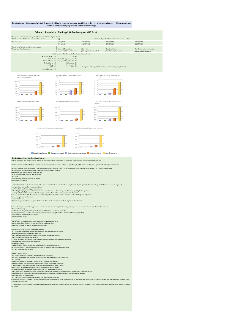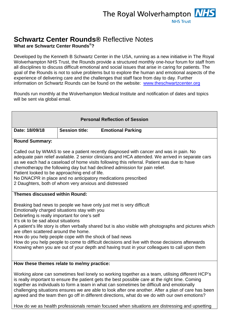## **Schwartz Center Rounds®** Reflective Notes

**What are Schwartz Center Rounds®?**

Developed by the Kenneth B Schwartz Center in the USA, running as a new initiative in The Royal Wolverhampton NHS Trust, the Rounds provide a structured monthly one-hour forum for staff from all disciplines to discuss difficult emotional and social issues that arise in caring for patients. The goal of the Rounds is not to solve problems but to explore the human and emotional aspects of the experience of delivering care and the challenges that staff face from day to day. Further information on Schwartz Rounds can be found on the website: [www.theschwartzcenter.org](http://www.theschwartzcenter.org/)

Rounds run monthly at the Wolverhampton Medical Institute and notification of dates and topics will be sent via global email.

| <b>Personal Reflection of Session</b>                                                                                                                                                                                                                                                                                                                                                                                                                                                                                                             |                                            |                                                                                                                                                                                                                                                                                                                                                                                                                                                                                                          |  |  |  |  |  |  |
|---------------------------------------------------------------------------------------------------------------------------------------------------------------------------------------------------------------------------------------------------------------------------------------------------------------------------------------------------------------------------------------------------------------------------------------------------------------------------------------------------------------------------------------------------|--------------------------------------------|----------------------------------------------------------------------------------------------------------------------------------------------------------------------------------------------------------------------------------------------------------------------------------------------------------------------------------------------------------------------------------------------------------------------------------------------------------------------------------------------------------|--|--|--|--|--|--|
| Date: 18/09/18                                                                                                                                                                                                                                                                                                                                                                                                                                                                                                                                    | <b>Session title:</b>                      | <b>Emotional Parking</b>                                                                                                                                                                                                                                                                                                                                                                                                                                                                                 |  |  |  |  |  |  |
| <b>Round Summary:</b>                                                                                                                                                                                                                                                                                                                                                                                                                                                                                                                             |                                            |                                                                                                                                                                                                                                                                                                                                                                                                                                                                                                          |  |  |  |  |  |  |
| Called out by WMAS to see a patient recently diagnosed with cancer and was in pain. No<br>adequate pain relief available. 2 senior clinicians and HCA attended. We arrived in separate cars<br>as we each had a caseload of home visits following this referral. Patient was due to have<br>chemotherapy the following day but had declined admission for pain relief.<br>Patient looked to be approaching end of life.<br>No DNACPR in place and no anticipatory medications prescribed<br>2 Daughters, both of whom very anxious and distressed |                                            |                                                                                                                                                                                                                                                                                                                                                                                                                                                                                                          |  |  |  |  |  |  |
|                                                                                                                                                                                                                                                                                                                                                                                                                                                                                                                                                   | <b>Themes discussed within Round:</b>      |                                                                                                                                                                                                                                                                                                                                                                                                                                                                                                          |  |  |  |  |  |  |
| Emotionally charged situations stay with you<br>Debriefing is really important for one's self<br>It's ok to be sad about situations<br>are often scattered around the home.<br>How do you help people cope with the shock of bad news                                                                                                                                                                                                                                                                                                             |                                            | Breaking bad news to people we have only just met is very difficult<br>A patient's life story is often verbally shared but is also visible with photographs and pictures which<br>How do you help people to come to difficult decisions and live with those decisions afterwards<br>Knowing when you are out of your depth and having trust in your colleagues to call upon them                                                                                                                         |  |  |  |  |  |  |
|                                                                                                                                                                                                                                                                                                                                                                                                                                                                                                                                                   | How these themes relate to me/my practice: |                                                                                                                                                                                                                                                                                                                                                                                                                                                                                                          |  |  |  |  |  |  |
|                                                                                                                                                                                                                                                                                                                                                                                                                                                                                                                                                   |                                            | Working alone can sometimes feel lonely so working together as a team, utilising different HCP's<br>is really important to ensure the patient gets the best possible care at the right time. Coming<br>together as individuals to form a team in what can sometimes be difficult and emotionally<br>challenging situations ensures we are able to look after one another. After a plan of care has been<br>agreed and the team then go off in different directions, what do we do with our own emotions? |  |  |  |  |  |  |

How do we as health professionals remain focused when situations are distressing and upsetting